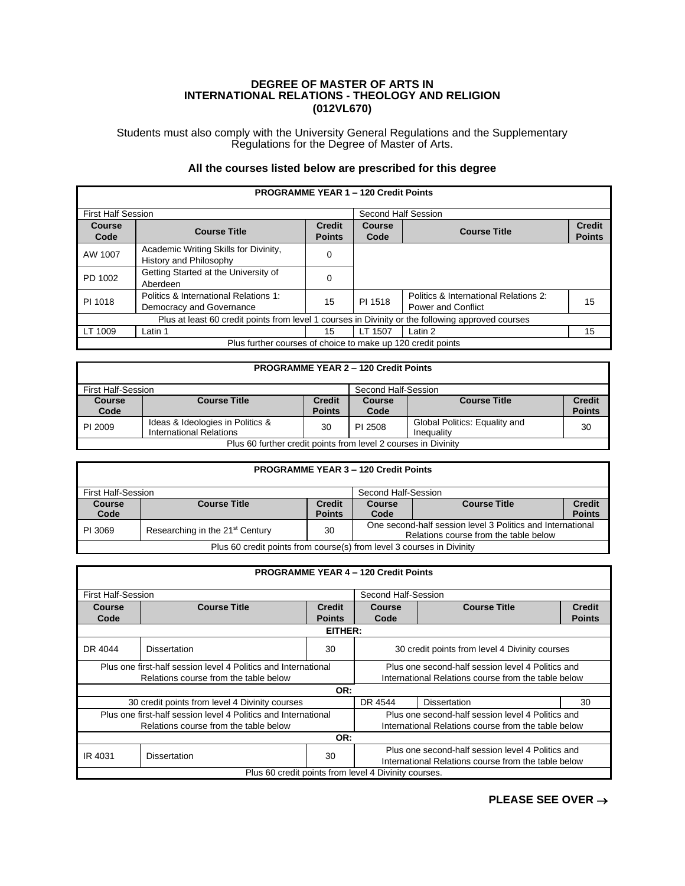## **DEGREE OF MASTER OF ARTS IN INTERNATIONAL RELATIONS - THEOLOGY AND RELIGION (012VL670)**

Students must also comply with the University General Regulations and the Supplementary Regulations for the Degree of Master of Arts.

## **All the courses listed below are prescribed for this degree**

| <b>PROGRAMME YEAR 1 - 120 Credit Points</b>                                                       |                                                                   |                                |                       |                                                                    |                                |  |  |
|---------------------------------------------------------------------------------------------------|-------------------------------------------------------------------|--------------------------------|-----------------------|--------------------------------------------------------------------|--------------------------------|--|--|
| <b>First Half Session</b>                                                                         |                                                                   |                                | Second Half Session   |                                                                    |                                |  |  |
| <b>Course</b><br>Code                                                                             | <b>Course Title</b>                                               | <b>Credit</b><br><b>Points</b> | <b>Course</b><br>Code | <b>Course Title</b>                                                | <b>Credit</b><br><b>Points</b> |  |  |
| AW 1007                                                                                           | Academic Writing Skills for Divinity,<br>History and Philosophy   | 0                              |                       |                                                                    |                                |  |  |
| PD 1002                                                                                           | Getting Started at the University of<br>Aberdeen                  | $\Omega$                       |                       |                                                                    |                                |  |  |
| PI 1018                                                                                           | Politics & International Relations 1:<br>Democracy and Governance | 15                             | PI 1518               | Politics & International Relations 2:<br><b>Power and Conflict</b> | 15                             |  |  |
| Plus at least 60 credit points from level 1 courses in Divinity or the following approved courses |                                                                   |                                |                       |                                                                    |                                |  |  |
| LT 1009                                                                                           | Latin 1                                                           | 15                             | LT 1507               | Latin 2                                                            | 15                             |  |  |
| Plus further courses of choice to make up 120 credit points                                       |                                                                   |                                |                       |                                                                    |                                |  |  |

| <b>PROGRAMME YEAR 2 - 120 Credit Points</b>                    |                                                             |                                |                     |                                             |                                |  |
|----------------------------------------------------------------|-------------------------------------------------------------|--------------------------------|---------------------|---------------------------------------------|--------------------------------|--|
| First Half-Session                                             |                                                             |                                | Second Half-Session |                                             |                                |  |
| Course<br>Code                                                 | <b>Course Title</b>                                         | <b>Credit</b><br><b>Points</b> | Course<br>Code      | <b>Course Title</b>                         | <b>Credit</b><br><b>Points</b> |  |
| PI 2009                                                        | Ideas & Ideologies in Politics &<br>International Relations | 30                             | PI 2508             | Global Politics: Equality and<br>Inequality | 30                             |  |
| Plus 60 further credit points from level 2 courses in Divinity |                                                             |                                |                     |                                             |                                |  |

| <b>PROGRAMME YEAR 3 - 120 Credit Points</b>                           |                                             |               |                                                            |                     |               |  |
|-----------------------------------------------------------------------|---------------------------------------------|---------------|------------------------------------------------------------|---------------------|---------------|--|
| First Half-Session                                                    |                                             |               | Second Half-Session                                        |                     |               |  |
| Course                                                                | <b>Course Title</b>                         | <b>Credit</b> | <b>Course</b>                                              | <b>Course Title</b> | <b>Credit</b> |  |
| Code                                                                  |                                             | <b>Points</b> | Code                                                       |                     | <b>Points</b> |  |
| PI 3069                                                               | Researching in the 21 <sup>st</sup> Century | 30            | One second-half session level 3 Politics and International |                     |               |  |
|                                                                       |                                             |               | Relations course from the table below                      |                     |               |  |
| Plus 60 credit points from course(s) from level 3 courses in Divinity |                                             |               |                                                            |                     |               |  |

| <b>PROGRAMME YEAR 4 - 120 Credit Points</b>                    |                                                                |                                                     |                                                      |                     |               |  |  |
|----------------------------------------------------------------|----------------------------------------------------------------|-----------------------------------------------------|------------------------------------------------------|---------------------|---------------|--|--|
|                                                                |                                                                |                                                     |                                                      |                     |               |  |  |
| <b>First Half-Session</b>                                      |                                                                |                                                     |                                                      | Second Half-Session |               |  |  |
| <b>Course</b>                                                  | <b>Course Title</b>                                            | <b>Credit</b>                                       | <b>Course</b>                                        | <b>Course Title</b> | <b>Credit</b> |  |  |
| Code                                                           |                                                                | <b>Points</b>                                       | Code                                                 |                     | <b>Points</b> |  |  |
|                                                                |                                                                | EITHER:                                             |                                                      |                     |               |  |  |
| DR 4044                                                        | <b>Dissertation</b>                                            | 30                                                  | 30 credit points from level 4 Divinity courses       |                     |               |  |  |
|                                                                | Plus one first-half session level 4 Politics and International |                                                     | Plus one second-half session level 4 Politics and    |                     |               |  |  |
| Relations course from the table below                          |                                                                | International Relations course from the table below |                                                      |                     |               |  |  |
|                                                                |                                                                | OR:                                                 |                                                      |                     |               |  |  |
| 30 credit points from level 4 Divinity courses                 |                                                                |                                                     | DR 4544                                              | <b>Dissertation</b> | 30            |  |  |
| Plus one first-half session level 4 Politics and International |                                                                |                                                     | Plus one second-half session level 4 Politics and    |                     |               |  |  |
|                                                                | Relations course from the table below                          |                                                     | International Relations course from the table below  |                     |               |  |  |
|                                                                | OR:                                                            |                                                     |                                                      |                     |               |  |  |
| IR 4031                                                        | <b>Dissertation</b>                                            | 30                                                  | Plus one second-half session level 4 Politics and    |                     |               |  |  |
|                                                                |                                                                |                                                     | International Relations course from the table below  |                     |               |  |  |
|                                                                |                                                                |                                                     | Plus 60 credit points from level 4 Divinity courses. |                     |               |  |  |

## **PLEASE SEE OVER** →